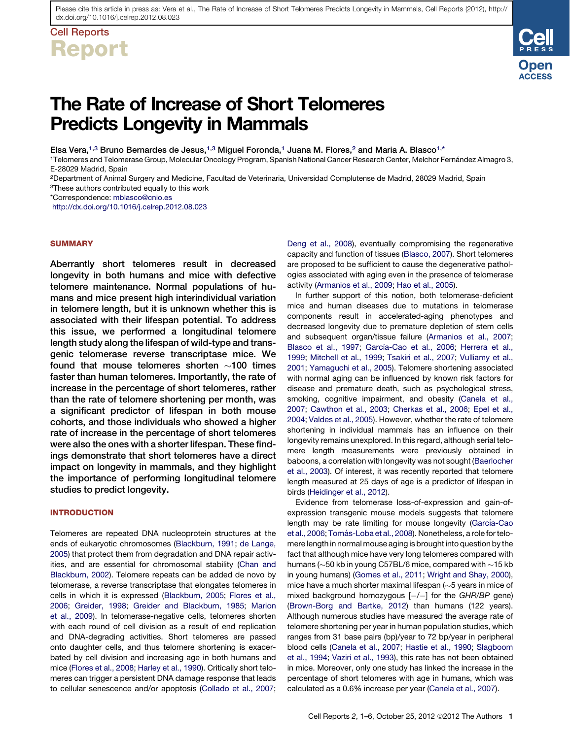# Cell Reports Report



## The Rate of Increase of Short Telomeres Predicts Longevity in Mammals

Elsa Vera,<sup>1,3</sup> Bruno Bernardes de Jesus,<sup>1,3</sup> Miguel Foronda,<sup>1</sup> Juana M. Flores,<sup>2</sup> and Maria A. Blasco<sup>1,\*</sup>

1Telomeres and Telomerase Group, Molecular Oncology Program, Spanish National Cancer Research Center, Melchor Fernández Almagro 3, E-28029 Madrid, Spain

2Department of Animal Surgery and Medicine, Facultad de Veterinaria, Universidad Complutense de Madrid, 28029 Madrid, Spain 3These authors contributed equally to this work

\*Correspondence: [mblasco@cnio.es](mailto:mblasco@cnio.es)

<http://dx.doi.org/10.1016/j.celrep.2012.08.023>

### **SUMMARY**

Aberrantly short telomeres result in decreased longevity in both humans and mice with defective telomere maintenance. Normal populations of humans and mice present high interindividual variation in telomere length, but it is unknown whether this is associated with their lifespan potential. To address this issue, we performed a longitudinal telomere length study along the lifespan of wild-type and transgenic telomerase reverse transcriptase mice. We found that mouse telomeres shorten  $\sim$ 100 times faster than human telomeres. Importantly, the rate of increase in the percentage of short telomeres, rather than the rate of telomere shortening per month, was a significant predictor of lifespan in both mouse cohorts, and those individuals who showed a higher rate of increase in the percentage of short telomeres were also the ones with a shorter lifespan. These findings demonstrate that short telomeres have a direct impact on longevity in mammals, and they highlight the importance of performing longitudinal telomere studies to predict longevity.

Telomeres are repeated DNA nucleoprotein structures at the ends of eukaryotic chromosomes [\(Blackburn, 1991;](#page-4-0) [de Lange,](#page-4-0) [2005\)](#page-4-0) that protect them from degradation and DNA repair activities, and are essential for chromosomal stability ([Chan and](#page-4-0) [Blackburn, 2002\)](#page-4-0). Telomere repeats can be added de novo by telomerase, a reverse transcriptase that elongates telomeres in cells in which it is expressed ([Blackburn, 2005;](#page-4-0) [Flores et al.,](#page-5-0) [2006;](#page-5-0) [Greider, 1998;](#page-5-0) [Greider and Blackburn, 1985](#page-5-0); [Marion](#page-5-0) [et al., 2009](#page-5-0)). In telomerase-negative cells, telomeres shorten with each round of cell division as a result of end replication and DNA-degrading activities. Short telomeres are passed onto daughter cells, and thus telomere shortening is exacerbated by cell division and increasing age in both humans and mice ([Flores et al., 2008;](#page-5-0) [Harley et al., 1990\)](#page-5-0). Critically short telomeres can trigger a persistent DNA damage response that leads to cellular senescence and/or apoptosis ([Collado et al., 2007;](#page-4-0) [Deng et al., 2008\)](#page-4-0), eventually compromising the regenerative capacity and function of tissues [\(Blasco, 2007\)](#page-4-0). Short telomeres are proposed to be sufficient to cause the degenerative pathologies associated with aging even in the presence of telomerase activity [\(Armanios et al., 2009](#page-4-0); [Hao et al., 2005\)](#page-5-0).

In further support of this notion, both telomerase-deficient mice and human diseases due to mutations in telomerase components result in accelerated-aging phenotypes and decreased longevity due to premature depletion of stem cells and subsequent organ/tissue failure ([Armanios et al., 2007;](#page-4-0) [Blasco et al., 1997](#page-4-0); García-Cao et al., 2006; [Herrera et al.,](#page-5-0) [1999;](#page-5-0) [Mitchell et al., 1999;](#page-5-0) [Tsakiri et al., 2007](#page-5-0); [Vulliamy et al.,](#page-5-0) [2001;](#page-5-0) [Yamaguchi et al., 2005\)](#page-5-0). Telomere shortening associated with normal aging can be influenced by known risk factors for disease and premature death, such as psychological stress, smoking, cognitive impairment, and obesity ([Canela et al.,](#page-4-0) [2007;](#page-4-0) [Cawthon et al., 2003](#page-4-0); [Cherkas et al., 2006](#page-4-0); [Epel et al.,](#page-4-0) [2004;](#page-4-0) [Valdes et al., 2005\)](#page-5-0). However, whether the rate of telomere shortening in individual mammals has an influence on their longevity remains unexplored. In this regard, although serial telomere length measurements were previously obtained in baboons, a correlation with longevity was not sought [\(Baerlocher](#page-4-0) [et al., 2003\)](#page-4-0). Of interest, it was recently reported that telomere length measured at 25 days of age is a predictor of lifespan in birds ([Heidinger et al., 2012](#page-5-0)).

Evidence from telomerase loss-of-expression and gain-ofexpression transgenic mouse models suggests that telomere length may be rate limiting for mouse longevity (García-Cao [et al., 2006;](#page-5-0) Tomá[s-Loba et al., 2008\)](#page-5-0). Nonetheless, a role for telomere length in normal mouse aging is brought into question by the fact that although mice have very long telomeres compared with humans ( $\sim$  50 kb in young C57BL/6 mice, compared with  $\sim$  15 kb in young humans) ([Gomes et al., 2011;](#page-5-0) [Wright and Shay, 2000\)](#page-5-0), mice have a much shorter maximal lifespan  $(\sim$  5 years in mice of mixed background homozygous  $[-/-]$  for the *GHR/BP* gene) [\(Brown-Borg and Bartke, 2012](#page-4-0)) than humans (122 years). Although numerous studies have measured the average rate of telomere shortening per year in human population studies, which ranges from 31 base pairs (bp)/year to 72 bp/year in peripheral blood cells [\(Canela et al., 2007;](#page-4-0) [Hastie et al., 1990](#page-5-0); [Slagboom](#page-5-0) [et al., 1994;](#page-5-0) [Vaziri et al., 1993\)](#page-5-0), this rate has not been obtained in mice. Moreover, only one study has linked the increase in the percentage of short telomeres with age in humans, which was calculated as a 0.6% increase per year [\(Canela et al., 2007](#page-4-0)).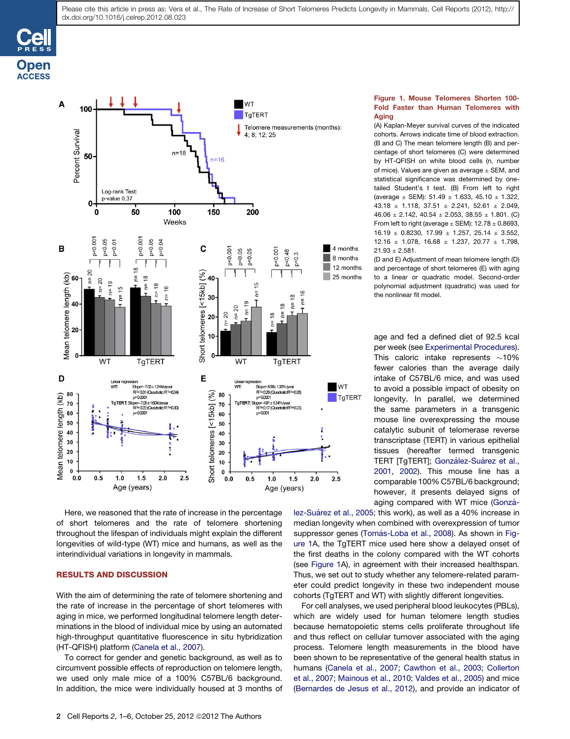<span id="page-1-0"></span>



Here, we reasoned that the rate of increase in the percentage of short telomeres and the rate of telomere shortening throughout the lifespan of individuals might explain the different longevities of wild-type (WT) mice and humans, as well as the interindividual variations in longevity in mammals.

With the aim of determining the rate of telomere shortening and the rate of increase in the percentage of short telomeres with aging in mice, we performed longitudinal telomere length determinations in the blood of individual mice by using an automated high-throughput quantitative fluorescence in situ hybridization (HT-QFISH) platform ([Canela et al., 2007\)](#page-4-0).

To correct for gender and genetic background, as well as to circumvent possible effects of reproduction on telomere length, we used only male mice of a 100% C57BL/6 background. In addition, the mice were individually housed at 3 months of

### Figure 1. Mouse Telomeres Shorten 100- Fold Faster than Human Telomeres with Aging

(A) Kaplan-Meyer survival curves of the indicated cohorts. Arrows indicate time of blood extraction. (B and C) The mean telomere length (B) and percentage of short telomeres (C) were determined by HT-QFISH on white blood cells (n, number of mice). Values are given as average  $\pm$  SEM, and statistical significance was determined by onetailed Student's t test. (B) From left to right (average  $\pm$  SEM): 51.49  $\pm$  1.633, 45.10  $\pm$  1.322,  $43.18 \pm 1.118$ ,  $37.51 \pm 2.241$ ,  $52.61 \pm 2.049$ ,  $46.06 \pm 2.142, 40.54 \pm 2.053, 38.55 \pm 1.801.$  (C) From left to right (average  $\pm$  SEM): 12.78  $\pm$  0.8693,  $16.19 \pm 0.8230, 17.99 \pm 1.257, 25.14 \pm 3.552,$  $12.16 \pm 1.078$ ,  $16.68 \pm 1.237$ ,  $20.77 \pm 1.798$ ,  $21.93 \pm 2.581$ .

(D and E) Adjustment of mean telomere length (D) and percentage of short telomeres (E) with aging to a linear or quadratic model. Second-order polynomial adjustment (quadratic) was used for the nonlinear fit model.

age and fed a defined diet of 92.5 kcal per week (see [Experimental Procedures](#page-3-0)). This caloric intake represents  $\sim$ 10% fewer calories than the average daily intake of C57BL/6 mice, and was used to avoid a possible impact of obesity on longevity. In parallel, we determined the same parameters in a transgenic mouse line overexpressing the mouse catalytic subunit of telomerase reverse transcriptase (TERT) in various epithelial tissues (hereafter termed transgenic TERT [TgTERT]; González-Suárez et al., [2001,](#page-5-0) [2002\)](#page-5-0). This mouse line has a comparable 100% C57BL/6 background; however, it presents delayed signs of aging compared with WT mice (Gonzá-

lez-Suárez et al., 2005; this work), as well as a 40% increase in median longevity when combined with overexpression of tumor suppressor genes (Tomá[s-Loba et al., 2008](#page-5-0)). As shown in Figure 1A, the TgTERT mice used here show a delayed onset of the first deaths in the colony compared with the WT cohorts (see Figure 1A), in agreement with their increased healthspan. Thus, we set out to study whether any telomere-related parameter could predict longevity in these two independent mouse cohorts (TgTERT and WT) with slightly different longevities.

For cell analyses, we used peripheral blood leukocytes (PBLs), which are widely used for human telomere length studies because hematopoietic stems cells proliferate throughout life and thus reflect on cellular turnover associated with the aging process. Telomere length measurements in the blood have been shown to be representative of the general health status in humans ([Canela et al., 2007](#page-4-0); [Cawthon et al., 2003;](#page-4-0) [Collerton](#page-4-0) [et al., 2007](#page-4-0); [Mainous et al., 2010;](#page-5-0) [Valdes et al., 2005](#page-5-0)) and mice [\(Bernardes de Jesus et al., 2012](#page-4-0)), and provide an indicator of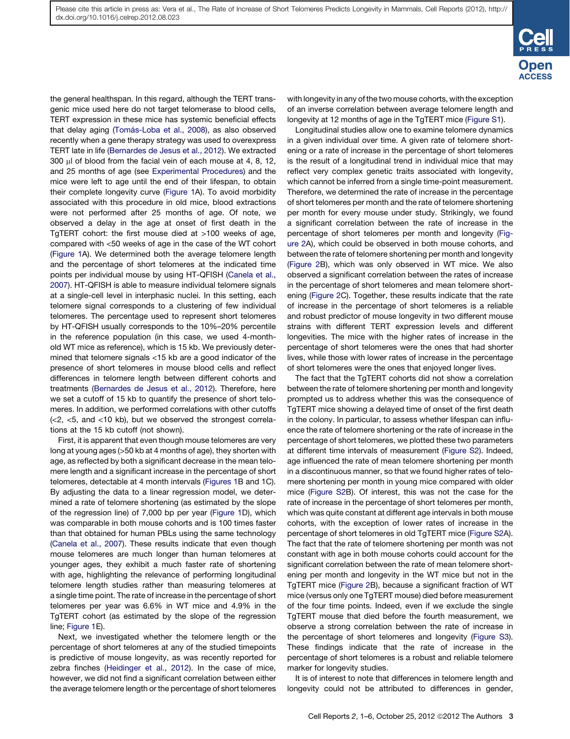

the general healthspan. In this regard, although the TERT transgenic mice used here do not target telomerase to blood cells, TERT expression in these mice has systemic beneficial effects that delay aging (Tomá[s-Loba et al., 2008](#page-5-0)), as also observed recently when a gene therapy strategy was used to overexpress TERT late in life ([Bernardes de Jesus et al., 2012\)](#page-4-0). We extracted  $300$   $\mu$ l of blood from the facial vein of each mouse at 4, 8, 12, and 25 months of age (see [Experimental Procedures](#page-3-0)) and the mice were left to age until the end of their lifespan, to obtain their complete longevity curve ([Figure 1A](#page-1-0)). To avoid morbidity associated with this procedure in old mice, blood extractions were not performed after 25 months of age. Of note, we observed a delay in the age at onset of first death in the TgTERT cohort: the first mouse died at >100 weeks of age, compared with <50 weeks of age in the case of the WT cohort [\(Figure 1](#page-1-0)A). We determined both the average telomere length and the percentage of short telomeres at the indicated time points per individual mouse by using HT-QFISH ([Canela et al.,](#page-4-0) [2007\)](#page-4-0). HT-QFISH is able to measure individual telomere signals at a single-cell level in interphasic nuclei. In this setting, each telomere signal corresponds to a clustering of few individual telomeres. The percentage used to represent short telomeres by HT-QFISH usually corresponds to the 10%–20% percentile in the reference population (in this case, we used 4-monthold WT mice as reference), which is 15 kb. We previously determined that telomere signals <15 kb are a good indicator of the presence of short telomeres in mouse blood cells and reflect differences in telomere length between different cohorts and treatments [\(Bernardes de Jesus et al., 2012](#page-4-0)). Therefore, here we set a cutoff of 15 kb to quantify the presence of short telomeres. In addition, we performed correlations with other cutoffs  $(<2, <5,$  and  $<10$  kb), but we observed the strongest correlations at the 15 kb cutoff (not shown).

First, it is apparent that even though mouse telomeres are very long at young ages (>50 kb at 4 months of age), they shorten with age, as reflected by both a significant decrease in the mean telomere length and a significant increase in the percentage of short telomeres, detectable at 4 month intervals [\(Figures 1B](#page-1-0) and 1C). By adjusting the data to a linear regression model, we determined a rate of telomere shortening (as estimated by the slope of the regression line) of 7,000 bp per year ([Figure 1](#page-1-0)D), which was comparable in both mouse cohorts and is 100 times faster than that obtained for human PBLs using the same technology [\(Canela et al., 2007](#page-4-0)). These results indicate that even though mouse telomeres are much longer than human telomeres at younger ages, they exhibit a much faster rate of shortening with age, highlighting the relevance of performing longitudinal telomere length studies rather than measuring telomeres at a single time point. The rate of increase in the percentage of short telomeres per year was 6.6% in WT mice and 4.9% in the TgTERT cohort (as estimated by the slope of the regression line; [Figure 1E](#page-1-0)).

Next, we investigated whether the telomere length or the percentage of short telomeres at any of the studied timepoints is predictive of mouse longevity, as was recently reported for zebra finches ([Heidinger et al., 2012\)](#page-5-0). In the case of mice, however, we did not find a significant correlation between either the average telomere length or the percentage of short telomeres with longevity in any of the two mouse cohorts, with the exception of an inverse correlation between average telomere length and longevity at 12 months of age in the TgTERT mice (Figure S1).

Longitudinal studies allow one to examine telomere dynamics in a given individual over time. A given rate of telomere shortening or a rate of increase in the percentage of short telomeres is the result of a longitudinal trend in individual mice that may reflect very complex genetic traits associated with longevity, which cannot be inferred from a single time-point measurement. Therefore, we determined the rate of increase in the percentage of short telomeres per month and the rate of telomere shortening per month for every mouse under study. Strikingly, we found a significant correlation between the rate of increase in the percentage of short telomeres per month and longevity [\(Fig](#page-3-0)[ure 2A](#page-3-0)), which could be observed in both mouse cohorts, and between the rate of telomere shortening per month and longevity [\(Figure 2B](#page-3-0)), which was only observed in WT mice. We also observed a significant correlation between the rates of increase in the percentage of short telomeres and mean telomere shortening ([Figure 2C](#page-3-0)). Together, these results indicate that the rate of increase in the percentage of short telomeres is a reliable and robust predictor of mouse longevity in two different mouse strains with different TERT expression levels and different longevities. The mice with the higher rates of increase in the percentage of short telomeres were the ones that had shorter lives, while those with lower rates of increase in the percentage of short telomeres were the ones that enjoyed longer lives.

The fact that the TgTERT cohorts did not show a correlation between the rate of telomere shortening per month and longevity prompted us to address whether this was the consequence of TgTERT mice showing a delayed time of onset of the first death in the colony. In particular, to assess whether lifespan can influence the rate of telomere shortening or the rate of increase in the percentage of short telomeres, we plotted these two parameters at different time intervals of measurement (Figure S2). Indeed, age influenced the rate of mean telomere shortening per month in a discontinuous manner, so that we found higher rates of telomere shortening per month in young mice compared with older mice (Figure S2B). Of interest, this was not the case for the rate of increase in the percentage of short telomeres per month, which was quite constant at different age intervals in both mouse cohorts, with the exception of lower rates of increase in the percentage of short telomeres in old TgTERT mice (Figure S2A). The fact that the rate of telomere shortening per month was not constant with age in both mouse cohorts could account for the significant correlation between the rate of mean telomere shortening per month and longevity in the WT mice but not in the TgTERT mice ([Figure 2B](#page-3-0)), because a significant fraction of WT mice (versus only one TgTERT mouse) died before measurement of the four time points. Indeed, even if we exclude the single TgTERT mouse that died before the fourth measurement, we observe a strong correlation between the rate of increase in the percentage of short telomeres and longevity (Figure S3). These findings indicate that the rate of increase in the percentage of short telomeres is a robust and reliable telomere marker for longevity studies.

It is of interest to note that differences in telomere length and longevity could not be attributed to differences in gender,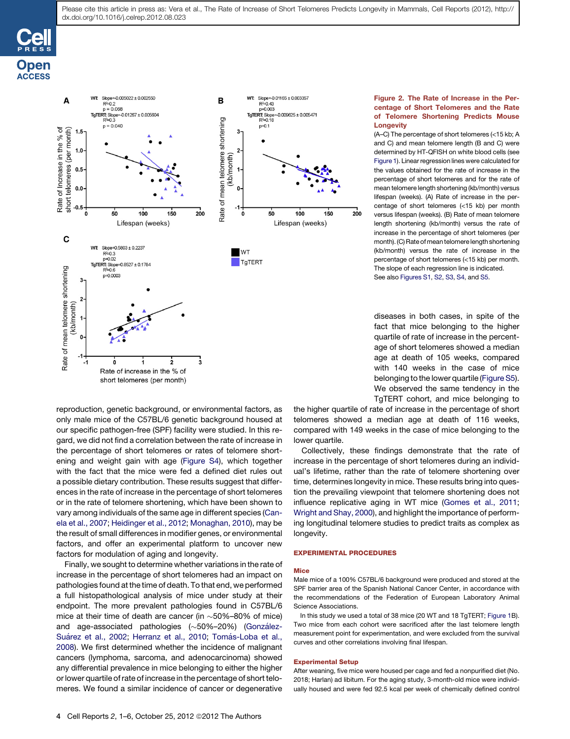<span id="page-3-0"></span>



reproduction, genetic background, or environmental factors, as only male mice of the C57BL/6 genetic background housed at our specific pathogen-free (SPF) facility were studied. In this regard, we did not find a correlation between the rate of increase in the percentage of short telomeres or rates of telomere shortening and weight gain with age (Figure S4), which together with the fact that the mice were fed a defined diet rules out a possible dietary contribution. These results suggest that differences in the rate of increase in the percentage of short telomeres or in the rate of telomere shortening, which have been shown to vary among individuals of the same age in different species [\(Can](#page-4-0)[ela et al., 2007;](#page-4-0) [Heidinger et al., 2012](#page-5-0); [Monaghan, 2010\)](#page-5-0), may be the result of small differences in modifier genes, or environmental factors, and offer an experimental platform to uncover new factors for modulation of aging and longevity.

Finally, we sought to determine whether variations in the rate of increase in the percentage of short telomeres had an impact on pathologies found at the time of death. To that end, we performed a full histopathological analysis of mice under study at their endpoint. The more prevalent pathologies found in C57BL/6 mice at their time of death are cancer (in  $\sim$  50%–80% of mice) and age-associated pathologies  $(\sim50\% - 20\%)$  (González-Suárez et al., 2002; [Herranz et al., 2010;](#page-5-0) Tomá[s-Loba et al.,](#page-5-0) [2008](#page-5-0)). We first determined whether the incidence of malignant cancers (lymphoma, sarcoma, and adenocarcinoma) showed any differential prevalence in mice belonging to either the higher or lower quartile of rate of increase in the percentage of short telomeres. We found a similar incidence of cancer or degenerative

### Figure 2. The Rate of Increase in the Percentage of Short Telomeres and the Rate of Telomere Shortening Predicts Mouse **Longevity**

(A–C) The percentage of short telomeres (<15 kb; A and C) and mean telomere length (B and C) were determined by HT-QFISH on white blood cells (see [Figure 1](#page-1-0)). Linear regression lines were calculated for the values obtained for the rate of increase in the percentage of short telomeres and for the rate of mean telomere length shortening (kb/month) versus lifespan (weeks). (A) Rate of increase in the percentage of short telomeres (<15 kb) per month versus lifespan (weeks). (B) Rate of mean telomere length shortening (kb/month) versus the rate of increase in the percentage of short telomeres (per month). (C) Rate of mean telomere length shortening (kb/month) versus the rate of increase in the percentage of short telomeres (<15 kb) per month. The slope of each regression line is indicated. See also Figures S1, S2, S3, S4, and S5.

diseases in both cases, in spite of the fact that mice belonging to the higher quartile of rate of increase in the percentage of short telomeres showed a median age at death of 105 weeks, compared with 140 weeks in the case of mice belonging to the lower quartile (Figure S5). We observed the same tendency in the TgTERT cohort, and mice belonging to

the higher quartile of rate of increase in the percentage of short telomeres showed a median age at death of 116 weeks, compared with 149 weeks in the case of mice belonging to the lower quartile.

Collectively, these findings demonstrate that the rate of increase in the percentage of short telomeres during an individual's lifetime, rather than the rate of telomere shortening over time, determines longevity in mice. These results bring into question the prevailing viewpoint that telomere shortening does not influence replicative aging in WT mice [\(Gomes et al., 2011;](#page-5-0) [Wright and Shay, 2000\)](#page-5-0), and highlight the importance of performing longitudinal telomere studies to predict traits as complex as longevity.

### **EXPERIMENTAL PROCEDURES**

Male mice of a 100% C57BL/6 background were produced and stored at the SPF barrier area of the Spanish National Cancer Center, in accordance with the recommendations of the Federation of European Laboratory Animal Science Associations.

In this study we used a total of 38 mice (20 WT and 18 TgTERT; [Figure 1](#page-1-0)B). Two mice from each cohort were sacrificed after the last telomere length measurement point for experimentation, and were excluded from the survival curves and other correlations involving final lifespan.

After weaning, five mice were housed per cage and fed a nonpurified diet (No. 2018; Harlan) ad libitum. For the aging study, 3-month-old mice were individually housed and were fed 92.5 kcal per week of chemically defined control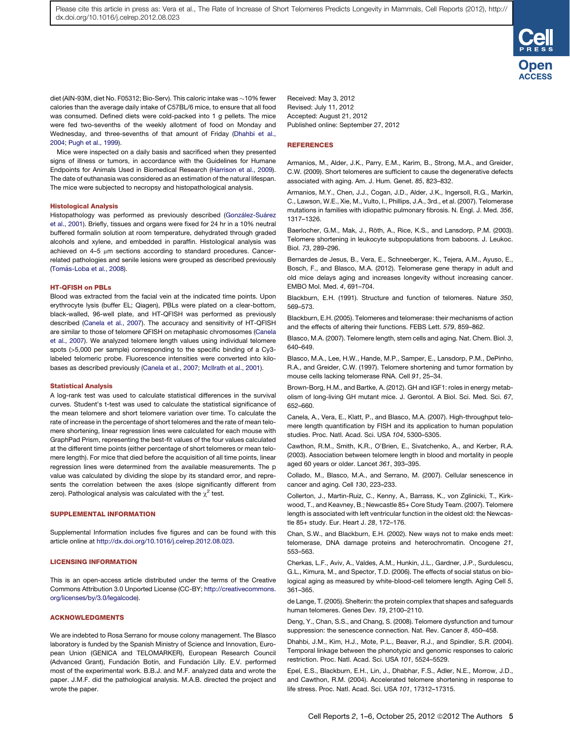

<span id="page-4-0"></span>diet (AIN-93M, diet No. F05312; Bio-Serv). This caloric intake was  $\sim$ 10% fewer calories than the average daily intake of C57BL/6 mice, to ensure that all food was consumed. Defined diets were cold-packed into 1 g pellets. The mice were fed two-sevenths of the weekly allotment of food on Monday and Wednesday, and three-sevenths of that amount of Friday (Dhahbi et al., 2004; [Pugh et al., 1999](#page-5-0)).

Mice were inspected on a daily basis and sacrificed when they presented signs of illness or tumors, in accordance with the Guidelines for Humane Endpoints for Animals Used in Biomedical Research ([Harrison et al., 2009](#page-5-0)). The date of euthanasia was considered as an estimation of the natural lifespan. The mice were subjected to necropsy and histopathological analysis.

Histopathology was performed as previously described (González-Suárez [et al., 2001\)](#page-5-0). Briefly, tissues and organs were fixed for 24 hr in a 10% neutral buffered formalin solution at room temperature, dehydrated through graded alcohols and xylene, and embedded in paraffin. Histological analysis was achieved on 4–5  $\mu$ m sections according to standard procedures. Cancerrelated pathologies and senile lesions were grouped as described previously (Tomá[s-Loba et al., 2008](#page-5-0)).

### **HT-OFISH on PRI s**

For access on Pals<br>Blood was extracted from the facial vein at the indicated time points. Upon erythrocyte lysis (buffer EL; Qiagen), PBLs were plated on a clear-bottom, black-walled, 96-well plate, and HT-QFISH was performed as previously described (Canela et al., 2007). The accuracy and sensitivity of HT-QFISH are similar to those of telomere QFISH on metaphasic chromosomes (Canela et al., 2007). We analyzed telomere length values using individual telomere spots (>5,000 per sample) corresponding to the specific binding of a Cy3 labeled telomeric probe. Fluorescence intensities were converted into kilobases as described previously (Canela et al., 2007; [McIlrath et al., 2001\)](#page-5-0).

A log-rank test was used to calculate statistical differences in the survival curves. Student's t-test was used to calculate the statistical significance of the mean telomere and short telomere variation over time. To calculate the rate of increase in the percentage of short telomeres and the rate of mean telomere shortening, linear regression lines were calculated for each mouse with GraphPad Prism, representing the best-fit values of the four values calculated at the different time points (either percentage of short telomeres or mean telomere length). For mice that died before the acquisition of all time points, linear regression lines were determined from the available measurements. The p value was calculated by dividing the slope by its standard error, and represents the correlation between the axes (slope significantly different from zero). Pathological analysis was calculated with the  $\chi^2$  test.

### **SUPPLEMENTAL INFORMATION**

Supplemental Information includes five figures and can be found with this article online at <http://dx.doi.org/10.1016/j.celrep.2012.08.023>.

This is an open-access article distributed under the terms of the Creative Commons Attribution 3.0 Unported License (CC-BY; [http://creativecommons.](http://creativecommons.org/licenses/by/3.0/legalcode) [org/licenses/by/3.0/legalcode\)](http://creativecommons.org/licenses/by/3.0/legalcode).

We are indebted to Rosa Serrano for mouse colony management. The Blasco laboratory is funded by the Spanish Ministry of Science and Innovation, European Union (GENICA and TELOMARKER), European Research Council (Advanced Grant), Fundación Botín, and Fundación Lilly. E.V. performed most of the experimental work. B.B.J. and M.F. analyzed data and wrote the paper. J.M.F. did the pathological analysis. M.A.B. directed the project and wrote the paper.

Received: May 3, 2012 Revised: July 11, 2012 Accepted: August 21, 2012 Published online: September 27, 2012

### **REFERENCES**

Armanios, M., Alder, J.K., Parry, E.M., Karim, B., Strong, M.A., and Greider, C.W. (2009). Short telomeres are sufficient to cause the degenerative defects associated with aging. Am. J. Hum. Genet. *85*, 823–832.

Armanios, M.Y., Chen, J.J., Cogan, J.D., Alder, J.K., Ingersoll, R.G., Markin, C., Lawson, W.E., Xie, M., Vulto, I., Phillips, J.A., 3rd., et al. (2007). Telomerase mutations in families with idiopathic pulmonary fibrosis. N. Engl. J. Med. *356*, 1317–1326.

Baerlocher, G.M., Mak, J., Röth, A., Rice, K.S., and Lansdorp, P.M. (2003). Telomere shortening in leukocyte subpopulations from baboons. J. Leukoc. Biol. *73*, 289–296.

Bernardes de Jesus, B., Vera, E., Schneeberger, K., Tejera, A.M., Ayuso, E., Bosch, F., and Blasco, M.A. (2012). Telomerase gene therapy in adult and old mice delays aging and increases longevity without increasing cancer. EMBO Mol. Med. *4*, 691–704.

Blackburn, E.H. (1991). Structure and function of telomeres. Nature *350*, 569–573.

Blackburn, E.H. (2005). Telomeres and telomerase: their mechanisms of action and the effects of altering their functions. FEBS Lett. *579*, 859–862.

Blasco, M.A. (2007). Telomere length, stem cells and aging. Nat. Chem. Biol. *3*, 640–649.

Blasco, M.A., Lee, H.W., Hande, M.P., Samper, E., Lansdorp, P.M., DePinho, R.A., and Greider, C.W. (1997). Telomere shortening and tumor formation by mouse cells lacking telomerase RNA. Cell *91*, 25–34.

Brown-Borg, H.M., and Bartke, A. (2012). GH and IGF1: roles in energy metabolism of long-living GH mutant mice. J. Gerontol. A Biol. Sci. Med. Sci. *67*, 652–660.

Canela, A., Vera, E., Klatt, P., and Blasco, M.A. (2007). High-throughput telomere length quantification by FISH and its application to human population studies. Proc. Natl. Acad. Sci. USA *104*, 5300–5305.

Cawthon, R.M., Smith, K.R., O'Brien, E., Sivatchenko, A., and Kerber, R.A. (2003). Association between telomere length in blood and mortality in people aged 60 years or older. Lancet *361*, 393–395.

Collado, M., Blasco, M.A., and Serrano, M. (2007). Cellular senescence in cancer and aging. Cell *130*, 223–233.

Collerton, J., Martin-Ruiz, C., Kenny, A., Barrass, K., von Zglinicki, T., Kirkwood, T., and Keavney, B.; Newcastle 85+ Core Study Team. (2007). Telomere length is associated with left ventricular function in the oldest old: the Newcastle 85+ study. Eur. Heart J. *28*, 172–176.

Chan, S.W., and Blackburn, E.H. (2002). New ways not to make ends meet: telomerase, DNA damage proteins and heterochromatin. Oncogene *21*, 553–563.

Cherkas, L.F., Aviv, A., Valdes, A.M., Hunkin, J.L., Gardner, J.P., Surdulescu, G.L., Kimura, M., and Spector, T.D. (2006). The effects of social status on biological aging as measured by white-blood-cell telomere length. Aging Cell *5*, 361–365.

de Lange, T. (2005). Shelterin: the protein complex that shapes and safeguards human telomeres. Genes Dev. *19*, 2100–2110.

Deng, Y., Chan, S.S., and Chang, S. (2008). Telomere dysfunction and tumour suppression: the senescence connection. Nat. Rev. Cancer *8*, 450–458.

Dhahbi, J.M., Kim, H.J., Mote, P.L., Beaver, R.J., and Spindler, S.R. (2004). Temporal linkage between the phenotypic and genomic responses to caloric restriction. Proc. Natl. Acad. Sci. USA *101*, 5524–5529.

Epel, E.S., Blackburn, E.H., Lin, J., Dhabhar, F.S., Adler, N.E., Morrow, J.D., and Cawthon, R.M. (2004). Accelerated telomere shortening in response to life stress. Proc. Natl. Acad. Sci. USA *101*, 17312–17315.